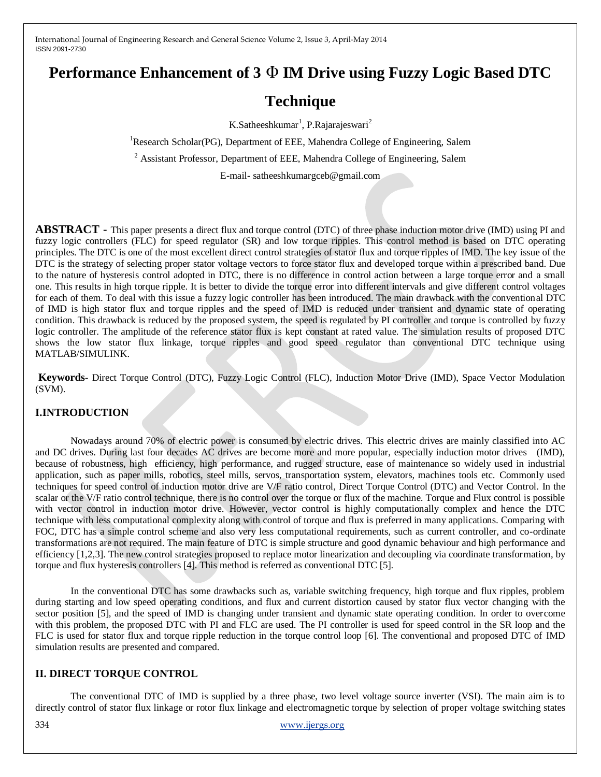# **Performance Enhancement of 3** Φ **IM Drive using Fuzzy Logic Based DTC**

# **Technique**

K.Satheeshkumar<sup>1</sup>, P.Rajarajeswari<sup>2</sup>

<sup>1</sup>Research Scholar(PG), Department of EEE, Mahendra College of Engineering, Salem

<sup>2</sup> Assistant Professor, Department of EEE, Mahendra College of Engineering, Salem

E-mail- satheeshkumargceb@gmail.com

**ABSTRACT -** This paper presents a direct flux and torque control (DTC) of three phase induction motor drive (IMD) using PI and fuzzy logic controllers (FLC) for speed regulator (SR) and low torque ripples. This control method is based on DTC operating principles. The DTC is one of the most excellent direct control strategies of stator flux and torque ripples of IMD. The key issue of the DTC is the strategy of selecting proper stator voltage vectors to force stator flux and developed torque within a prescribed band. Due to the nature of hysteresis control adopted in DTC, there is no difference in control action between a large torque error and a small one. This results in high torque ripple. It is better to divide the torque error into different intervals and give different control voltages for each of them. To deal with this issue a fuzzy logic controller has been introduced. The main drawback with the conventional DTC of IMD is high stator flux and torque ripples and the speed of IMD is reduced under transient and dynamic state of operating condition. This drawback is reduced by the proposed system, the speed is regulated by PI controller and torque is controlled by fuzzy logic controller. The amplitude of the reference stator flux is kept constant at rated value. The simulation results of proposed DTC shows the low stator flux linkage, torque ripples and good speed regulator than conventional DTC technique using MATLAB/SIMULINK.

**Keywords**- Direct Torque Control (DTC), Fuzzy Logic Control (FLC), Induction Motor Drive (IMD), Space Vector Modulation (SVM).

## **I.INTRODUCTION**

Nowadays around 70% of electric power is consumed by electric drives. This electric drives are mainly classified into AC and DC drives. During last four decades AC drives are become more and more popular, especially induction motor drives (IMD), because of robustness, high efficiency, high performance, and rugged structure, ease of maintenance so widely used in industrial application, such as paper mills, robotics, steel mills, servos, transportation system, elevators, machines tools etc. Commonly used techniques for speed control of induction motor drive are V/F ratio control, Direct Torque Control (DTC) and Vector Control. In the scalar or the V/F ratio control technique, there is no control over the torque or flux of the machine. Torque and Flux control is possible with vector control in induction motor drive. However, vector control is highly computationally complex and hence the DTC technique with less computational complexity along with control of torque and flux is preferred in many applications. Comparing with FOC, DTC has a simple control scheme and also very less computational requirements, such as current controller, and co-ordinate transformations are not required. The main feature of DTC is simple structure and good dynamic behaviour and high performance and efficiency [1,2,3]. The new control strategies proposed to replace motor linearization and decoupling via coordinate transformation, by torque and flux hysteresis controllers [4]. This method is referred as conventional DTC [5].

In the conventional DTC has some drawbacks such as, variable switching frequency, high torque and flux ripples, problem during starting and low speed operating conditions, and flux and current distortion caused by stator flux vector changing with the sector position [5], and the speed of IMD is changing under transient and dynamic state operating condition. In order to overcome with this problem, the proposed DTC with PI and FLC are used. The PI controller is used for speed control in the SR loop and the FLC is used for stator flux and torque ripple reduction in the torque control loop [6]. The conventional and proposed DTC of IMD simulation results are presented and compared.

## **II. DIRECT TORQUE CONTROL**

The conventional DTC of IMD is supplied by a three phase, two level voltage source inverter (VSI). The main aim is to directly control of stator flux linkage or rotor flux linkage and electromagnetic torque by selection of proper voltage switching states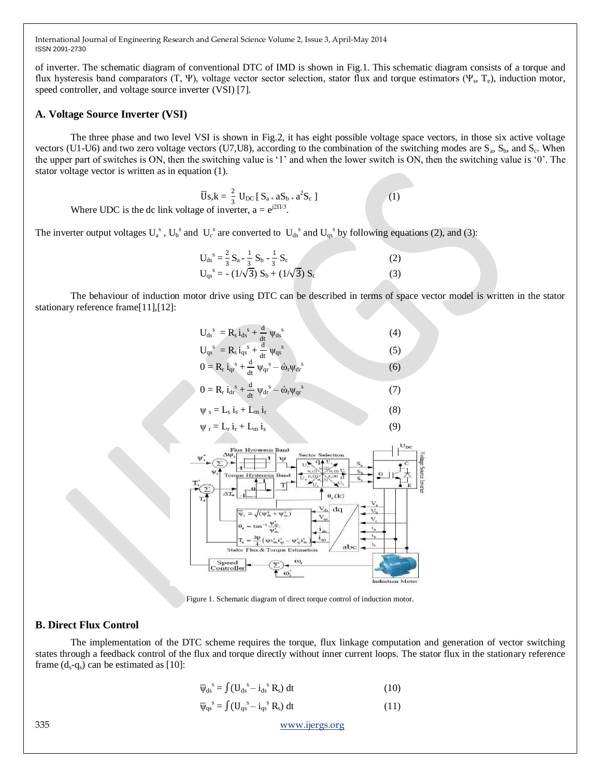of inverter. The schematic diagram of conventional DTC of IMD is shown in Fig.1. This schematic diagram consists of a torque and flux hysteresis band comparators  $(T, \Psi)$ , voltage vector sector selection, stator flux and torque estimators  $(\Psi_s, T_e)$ , induction motor, speed controller, and voltage source inverter (VSI) [7].

#### **A. Voltage Source Inverter (VSI)**

The three phase and two level VSI is shown in Fig.2, it has eight possible voltage space vectors, in those six active voltage vectors (U1-U6) and two zero voltage vectors (U7,U8), according to the combination of the switching modes are  $S_a$ ,  $S_b$ , and  $S_c$ . When the upper part of switches is ON, then the switching value is "1" and when the lower switch is ON, then the switching value is "0". The stator voltage vector is written as in equation (1).

 $\overline{U}$ S<sub>s</sub>, k =  $\frac{2}{3}$  U<sub>DC</sub> [ S<sub>a+</sub> aS<sub>b+</sub> a<sup>2</sup>S<sub>c</sub> ] (1)

Where UDC is the dc link voltage of inverter,  $a = e^{j2\Pi/3}$ .

The inverter output voltages  $U_a^s$ ,  $U_b^s$  and  $U_c^s$  are converted to  $U_{ds}^s$  and  $U_{qs}^s$  by following equations (2), and (3):

| $U_{ds}^{s} = \frac{2}{3} S_a - \frac{1}{3} S_b - \frac{1}{3} S_c$ | (2) |
|--------------------------------------------------------------------|-----|
| $U_{qs}^s = -(1/\sqrt{3}) S_b + (1/\sqrt{3}) S_c$                  | (3) |

The behaviour of induction motor drive using DTC can be described in terms of space vector model is written in the stator stationary reference frame[11],[12]:





Figure 1. Schematic diagram of direct torque control of induction motor.

#### **B. Direct Flux Control**

The implementation of the DTC scheme requires the torque, flux linkage computation and generation of vector switching states through a feedback control of the flux and torque directly without inner current loops. The stator flux in the stationary reference frame  $(d_s - q_s)$  can be estimated as [10]:

$$
\overline{\Psi}_{ds}^{s} = \int (U_{ds}^{s} - i_{ds}^{s} R_{s}) dt
$$
 (10)

$$
\overline{\psi}_{\rm qs}^{\quad s} = \int (U_{\rm qs}^{\quad s} - i_{\rm qs}^{\quad s} R_{\rm s}) \, \mathrm{d}t \tag{11}
$$

335 [www.ijergs.org](http://www.ijergs.org/)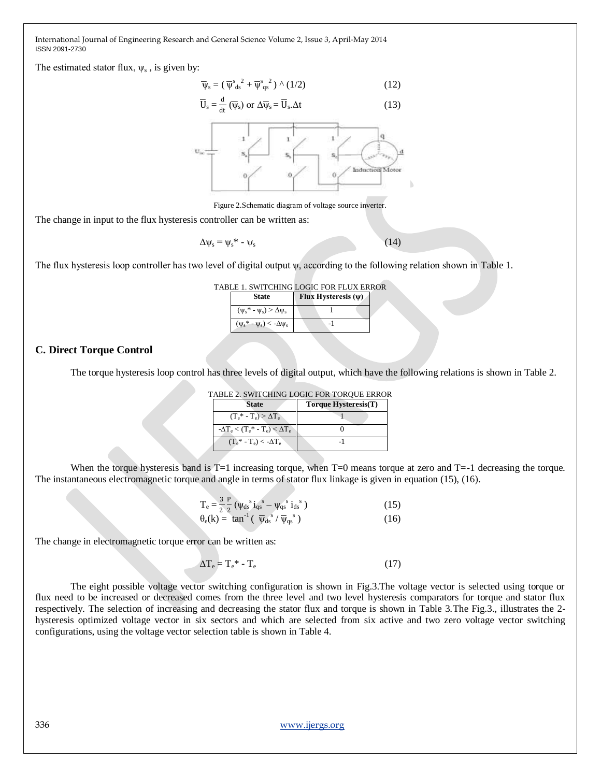The estimated stator flux,  $\psi_s$ , is given by:

$$
\overline{\psi}_s = (\overline{\psi}_{ds}^s{}^2 + \overline{\psi}_{qs}^s{}^2) \wedge (1/2)
$$
 (12)

$$
\overline{U}_s = \frac{d}{dt} (\overline{\psi}_s) \text{ or } \Delta \overline{\psi}_s = \overline{U}_s. \Delta t \tag{13}
$$



Figure 2.Schematic diagram of voltage source inverter.

The change in input to the flux hysteresis controller can be written as:

$$
\Delta \psi_s = \psi_s^* - \psi_s \tag{14}
$$

The flux hysteresis loop controller has two level of digital output ψ, according to the following relation shown in Table 1.

|                                        | <b>TABLE 1. SWITCHING LOGIC FOR FLUX ERROR</b> |  |
|----------------------------------------|------------------------------------------------|--|
| <b>State</b>                           | Flux Hysteresis $(\psi)$                       |  |
| $(\psi_s^* - \psi_s) > \Delta \psi_s$  |                                                |  |
| $(\psi_s^* - \psi_s) < -\Delta \psi_s$ |                                                |  |

#### **C. Direct Torque Control**

The torque hysteresis loop control has three levels of digital output, which have the following relations is shown in Table 2.

|                                              | ABLE 2. SWITCHING LOUIC FOR TORQUE ERRO |
|----------------------------------------------|-----------------------------------------|
| <b>State</b>                                 | Torque Hysteresis(T)                    |
| $(T_e^* - T_e) > \Delta T_e$                 |                                         |
| $-\Delta T_e < (T_e^* - T_e) < \Delta T_e$   |                                         |
| $(T_{\rho}^* - T_{\rho}) < -\Delta T_{\rho}$ |                                         |

TABLE 2. SWITCHING LOGIC FOR TORQUE ERROR

When the torque hysteresis band is  $T=1$  increasing torque, when  $T=0$  means torque at zero and  $T=-1$  decreasing the torque. The instantaneous electromagnetic torque and angle in terms of stator flux linkage is given in equation (15), (16).

$$
T_e = \frac{3}{2} \frac{P}{2} \left( \psi_{ds}^s \, i_{qs}^s - \psi_{qs}^s \, i_{ds}^s \right) \tag{15}
$$

$$
\theta_{\rm e}(k) = \tan^{-1}(\overline{\psi}_{\rm ds}^{\ \ s}/\overline{\psi}_{\rm qs}^{\ \ s}) \tag{16}
$$

The change in electromagnetic torque error can be written as:

$$
\Delta T_e = T_e^* - T_e \tag{17}
$$

The eight possible voltage vector switching configuration is shown in Fig.3.The voltage vector is selected using torque or flux need to be increased or decreased comes from the three level and two level hysteresis comparators for torque and stator flux respectively. The selection of increasing and decreasing the stator flux and torque is shown in Table 3.The Fig.3., illustrates the 2 hysteresis optimized voltage vector in six sectors and which are selected from six active and two zero voltage vector switching configurations, using the voltage vector selection table is shown in Table 4.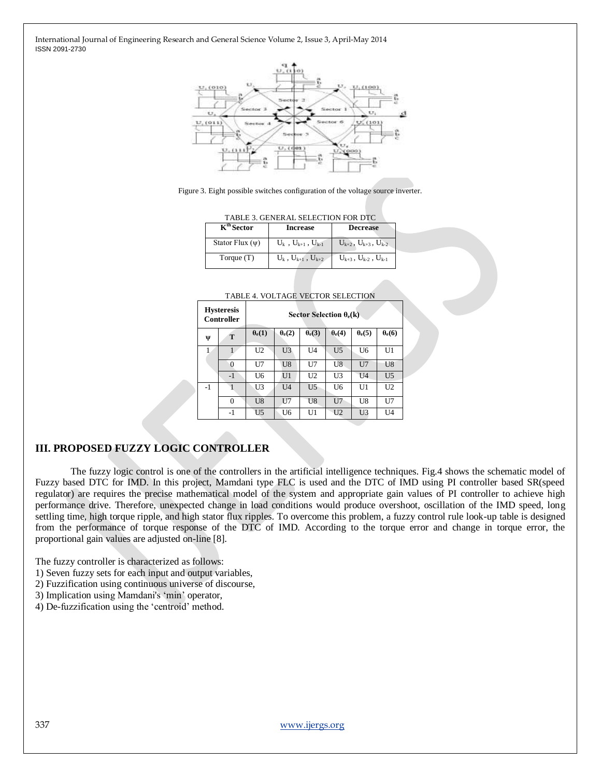

Figure 3. Eight possible switches configuration of the voltage source inverter.

|  |  |  |  | TABLE 3. GENERAL SELECTION FOR DTC |  |
|--|--|--|--|------------------------------------|--|
|--|--|--|--|------------------------------------|--|

| $K^{th}$ Sector      | <b>Increase</b>               | <b>Decrease</b>                   |
|----------------------|-------------------------------|-----------------------------------|
| Stator Flux $(\psi)$ | $U_k$ , $U_{k+1}$ , $U_{k-1}$ | $U_{k+2}$ , $U_{k+3}$ , $U_{k-2}$ |
| Torque (T)           | $U_k$ , $U_{k+1}$ , $U_{k+2}$ | $U_{k+3}$ , $U_{k-2}$ , $U_{k-1}$ |

|      | <b>Hysteresis</b><br><b>Controller</b> |                |                |                | Sector Selection $\theta_e(k)$ |                |                |
|------|----------------------------------------|----------------|----------------|----------------|--------------------------------|----------------|----------------|
| Ψ    | T                                      | $\theta_e(1)$  | $\theta_e(2)$  | $\theta_e(3)$  | $\theta_e(4)$                  | $\theta_e(5)$  | $\theta_e(6)$  |
|      |                                        | U2             | U3             | U4             | U <sub>5</sub>                 | U6             | U1             |
|      | 0                                      | U7             | U8             | U7             | U8                             | U7             | U8             |
|      | $-1$                                   | U6             | U <sub>1</sub> | U <sub>2</sub> | U3                             | U <sub>4</sub> | U <sub>5</sub> |
| $-1$ |                                        | U3             | U <sub>4</sub> | U <sub>5</sub> | U6                             | U1             | U2             |
|      | $\Omega$                               | U <sub>8</sub> | U7             | U8             | U7                             | U8             | U7             |
|      | $-1$                                   | U5             | U6             | U1             | U <sub>2</sub>                 | U <sub>3</sub> | U4             |

#### **III. PROPOSED FUZZY LOGIC CONTROLLER**

The fuzzy logic control is one of the controllers in the artificial intelligence techniques. Fig.4 shows the schematic model of Fuzzy based DTC for IMD. In this project, Mamdani type FLC is used and the DTC of IMD using PI controller based SR(speed regulator) are requires the precise mathematical model of the system and appropriate gain values of PI controller to achieve high performance drive. Therefore, unexpected change in load conditions would produce overshoot, oscillation of the IMD speed, long settling time, high torque ripple, and high stator flux ripples. To overcome this problem, a fuzzy control rule look-up table is designed from the performance of torque response of the DTC of IMD. According to the torque error and change in torque error, the proportional gain values are adjusted on-line [8].

The fuzzy controller is characterized as follows:

- 1) Seven fuzzy sets for each input and output variables,
- 2) Fuzzification using continuous universe of discourse,
- 3) Implication using Mamdani's "min" operator,
- 4) De-fuzzification using the "centroid" method.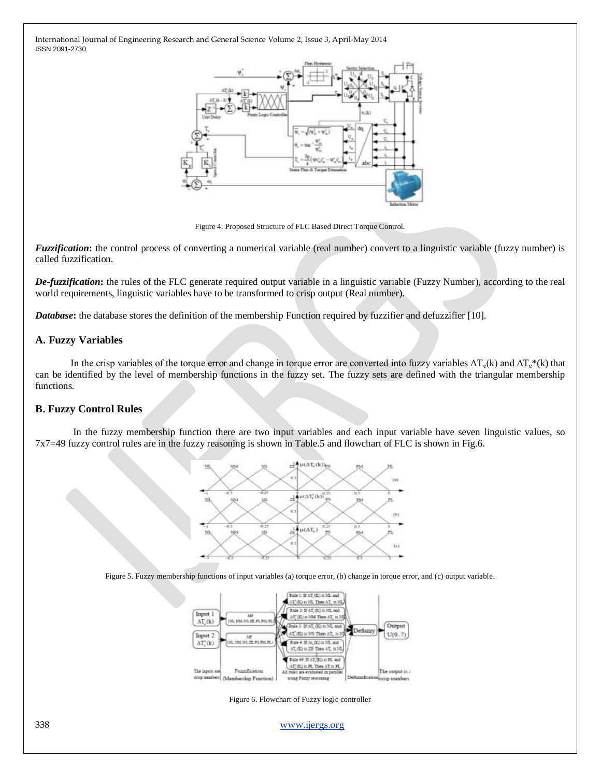

Figure 4. Proposed Structure of FLC Based Direct Torque Control.

*Fuzzification*: the control process of converting a numerical variable (real number) convert to a linguistic variable (fuzzy number) is called fuzzification.

*De-fuzzification***:** the rules of the FLC generate required output variable in a linguistic variable (Fuzzy Number), according to the real world requirements, linguistic variables have to be transformed to crisp output (Real number).

*Database*: the database stores the definition of the membership Function required by fuzzifier and defuzzifier [10].

#### **A. Fuzzy Variables**

In the crisp variables of the torque error and change in torque error are converted into fuzzy variables  $\Delta T_e(k)$  and  $\Delta T_e*(k)$  that can be identified by the level of membership functions in the fuzzy set. The fuzzy sets are defined with the triangular membership functions.

#### **B. Fuzzy Control Rules**

In the fuzzy membership function there are two input variables and each input variable have seven linguistic values, so 7x7=49 fuzzy control rules are in the fuzzy reasoning is shown in Table.5 and flowchart of FLC is shown in Fig.6.



Figure 5. Fuzzy membership functions of input variables (a) torque error, (b) change in torque error, and (c) output variable.



Figure 6. Flowchart of Fuzzy logic controller

338 [www.ijergs.org](http://www.ijergs.org/)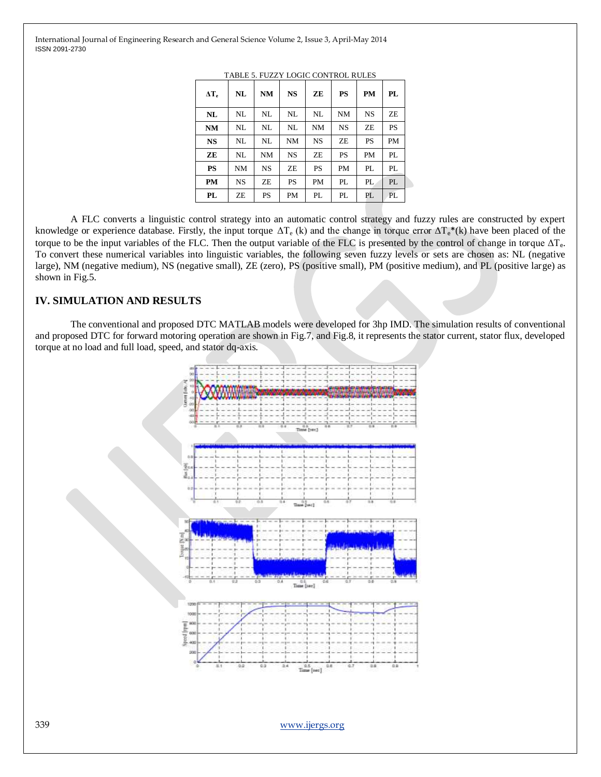| $\Delta T_e$ | NL | <b>NM</b> | <b>NS</b> | ZE        | PS        | <b>PM</b> | PL  |
|--------------|----|-----------|-----------|-----------|-----------|-----------|-----|
| NL           | NL | NL        | NL        | NL        | NM        | <b>NS</b> | ZE  |
| NM           | NL | NL        | NL        | NM        | <b>NS</b> | ZE        | PS  |
| <b>NS</b>    | NL | NL        | NM        | <b>NS</b> | ZE        | <b>PS</b> | PM  |
| ZE           | NL | <b>NM</b> | <b>NS</b> | ZE        | PS        | PM        | PI. |
| <b>PS</b>    | NM | NS        | ZΕ        | <b>PS</b> | PM        | PL        | PL  |
| PM           | NS | ZE        | PS        | PM        | PL        | PL        | PL  |
| PL           | ZE | PS        | PM        | PL        | PL        | PL        | PL  |

TABLE 5. FUZZY LOGIC CONTROL RULES

A FLC converts a linguistic control strategy into an automatic control strategy and fuzzy rules are constructed by expert knowledge or experience database. Firstly, the input torque  $\Delta T_e$  (k) and the change in torque error  $\Delta T_e^*(k)$  have been placed of the torque to be the input variables of the FLC. Then the output variable of the FLC is presented by the control of change in torque  $\Delta T_e$ . To convert these numerical variables into linguistic variables, the following seven fuzzy levels or sets are chosen as: NL (negative large), NM (negative medium), NS (negative small), ZE (zero), PS (positive small), PM (positive medium), and PL (positive large) as shown in Fig.5.

#### **IV. SIMULATION AND RESULTS**

The conventional and proposed DTC MATLAB models were developed for 3hp IMD. The simulation results of conventional and proposed DTC for forward motoring operation are shown in Fig.7, and Fig.8, it represents the stator current, stator flux, developed torque at no load and full load, speed, and stator dq-axis.



339 [www.ijergs.org](http://www.ijergs.org/)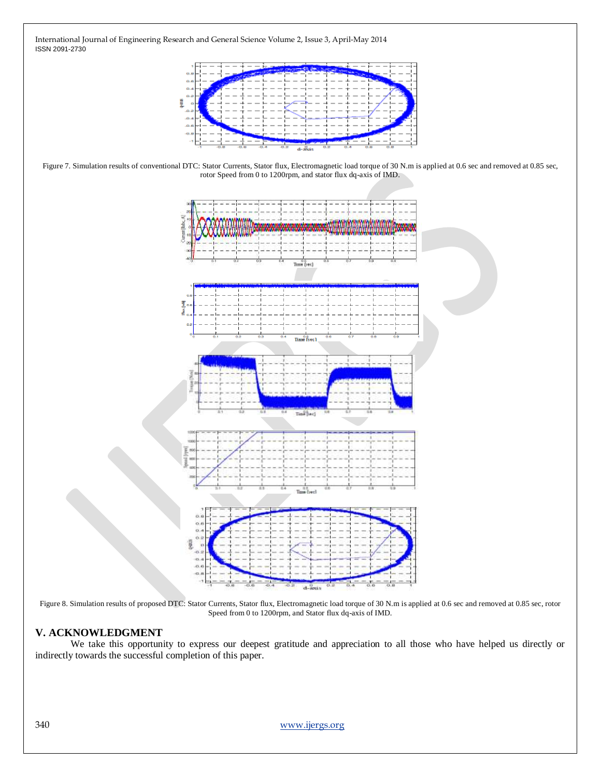

Figure 7. Simulation results of conventional DTC: Stator Currents, Stator flux, Electromagnetic load torque of 30 N.m is applied at 0.6 sec and removed at 0.85 sec, rotor Speed from 0 to 1200rpm, and stator flux dq-axis of IMD.



Figure 8. Simulation results of proposed DTC: Stator Currents, Stator flux, Electromagnetic load torque of 30 N.m is applied at 0.6 sec and removed at 0.85 sec, rotor Speed from 0 to 1200rpm, and Stator flux dq-axis of IMD.

# **V. ACKNOWLEDGMENT**

We take this opportunity to express our deepest gratitude and appreciation to all those who have helped us directly or indirectly towards the successful completion of this paper.